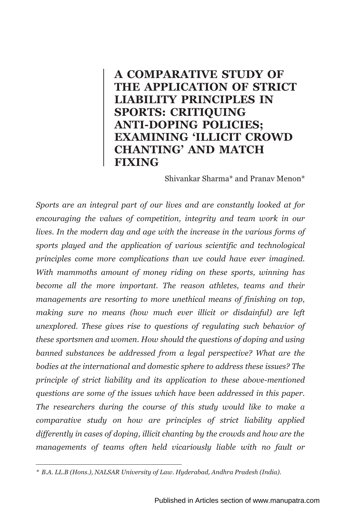# **A COMPARATIVE STUDY OF THE APPLICATION OF STRICT LIABILITY PRINCIPLES IN SPORTS: CRITIQUING ANTI-DOPING POLICIES; EXAMINING 'ILLICIT CROWD CHANTING' AND MATCH FIXING**

Shivankar Sharma\* and Pranav Menon\*

*Sports are an integral part of our lives and are constantly looked at for encouraging the values of competition, integrity and team work in our lives. In the modern day and age with the increase in the various forms of sports played and the application of various scientific and technological principles come more complications than we could have ever imagined. With mammoths amount of money riding on these sports, winning has become all the more important. The reason athletes, teams and their managements are resorting to more unethical means of finishing on top, making sure no means (how much ever illicit or disdainful) are left unexplored. These gives rise to questions of regulating such behavior of these sportsmen and women. How should the questions of doping and using banned substances be addressed from a legal perspective? What are the bodies at the international and domestic sphere to address these issues? The principle of strict liability and its application to these above-mentioned questions are some of the issues which have been addressed in this paper. The researchers during the course of this study would like to make a comparative study on how are principles of strict liability applied differently in cases of doping, illicit chanting by the crowds and how are the managements of teams often held vicariously liable with no fault or* 

*<sup>\*</sup> B.A. LL.B (Hons.), NALSAR University of Law. Hyderabad, Andhra Pradesh (India).*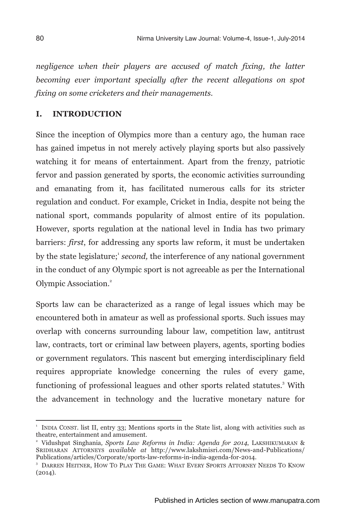*negligence when their players are accused of match fixing, the latter becoming ever important specially after the recent allegations on spot fixing on some cricketers and their managements.*

#### **I. INTRODUCTION**

Since the inception of Olympics more than a century ago, the human race has gained impetus in not merely actively playing sports but also passively watching it for means of entertainment. Apart from the frenzy, patriotic fervor and passion generated by sports, the economic activities surrounding and emanating from it, has facilitated numerous calls for its stricter regulation and conduct. For example, Cricket in India, despite not being the national sport, commands popularity of almost entire of its population. However, sports regulation at the national level in India has two primary barriers: *first*, for addressing any sports law reform, it must be undertaken by the state legislature;<sup>1</sup> second, the interference of any national government in the conduct of any Olympic sport is not agreeable as per the International Olympic Association.<sup>2</sup>

Sports law can be characterized as a range of legal issues which may be encountered both in amateur as well as professional sports. Such issues may overlap with concerns surrounding labour law, competition law, antitrust law, contracts, tort or criminal law between players, agents, sporting bodies or government regulators. This nascent but emerging interdisciplinary field requires appropriate knowledge concerning the rules of every game, functioning of professional leagues and other sports related statutes.<sup>3</sup> With the advancement in technology and the lucrative monetary nature for

<sup>1</sup> INDIA CONST. list II, entry 33; Mentions sports in the State list, along with activities such as theatre, entertainment and amusement.

<sup>2</sup> Vidushpat Singhania*, Sports Law Reforms in India: Agenda for 2014*, LAKSHIKUMARAN & SRIDHARAN ATTORNEYS *available at* http://www.lakshmisri.com/News-and-Publications/ Publications/articles/Corporate/sports-law-reforms-in-india-agenda-for-2014.

<sup>3</sup> DARREN HEITNER, HOW TO PLAY THE GAME: WHAT EVERY SPORTS ATTORNEY NEEDS TO KNOW  $(2014).$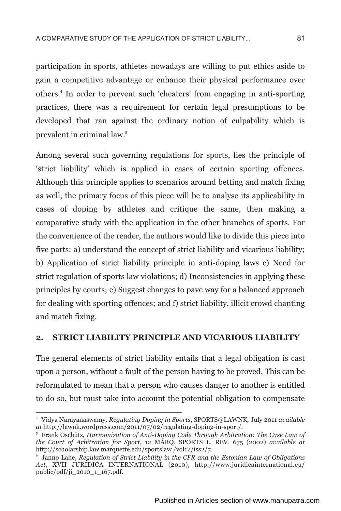participation in sports, athletes nowadays are willing to put ethics aside to gain a competitive advantage or enhance their physical performance over others.<sup>4</sup> In order to prevent such 'cheaters' from engaging in anti-sporting practices, there was a requirement for certain legal presumptions to be developed that ran against the ordinary notion of culpability which is 5 prevalent in criminal law.

Among several such governing regulations for sports, lies the principle of 'strict liability' which is applied in cases of certain sporting offences. Although this principle applies to scenarios around betting and match fixing as well, the primary focus of this piece will be to analyse its applicability in cases of doping by athletes and critique the same, then making a comparative study with the application in the other branches of sports. For the convenience of the reader, the authors would like to divide this piece into five parts: a) understand the concept of strict liability and vicarious liability; b) Application of strict liability principle in anti-doping laws c) Need for strict regulation of sports law violations; d) Inconsistencies in applying these principles by courts; e) Suggest changes to pave way for a balanced approach for dealing with sporting offences; and f) strict liability, illicit crowd chanting and match fixing.

#### **2. STRICT LIABILITY PRINCIPLE AND VICARIOUS LIABILITY**

The general elements of strict liability entails that a legal obligation is cast upon a person, without a fault of the person having to be proved. This can be reformulated to mean that a person who causes danger to another is entitled to do so, but must take into account the potential obligation to compensate

<sup>4</sup> Vidya Narayanaswamy, *Regulating Doping in Sports*, SPORTS@LAWNK, July 2011 *available at* http://lawnk.wordpress.com/2011/07/02/regulating-doping-in-sport/.

<sup>5</sup> Frank Oschütz, *Harmonization of Anti-Doping Code Through Arbitration: The Case Law of the Court of Arbitration for Sport*, 12 MARQ. SPORTS L. REV. 675 (2002) *available at* http://scholarship.law.marquette.edu/sportslaw /vol12/iss2/7.

<sup>6</sup> Janno Lahe, *Regulation of Strict Liability in the CFR and the Estonian Law of Obligations Act*, XVII JURIDICA INTERNATIONAL (2010), http://www.juridicainternational.eu/ public/pdf/ji\_2010\_1\_167.pdf.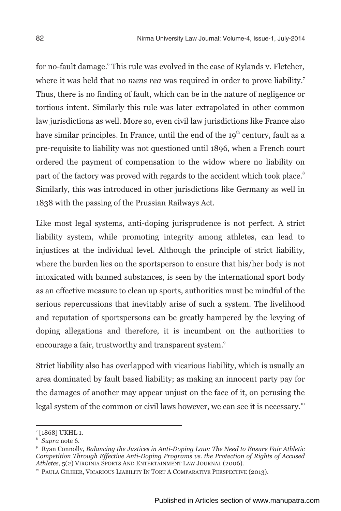for no-fault damage. $\degree$  This rule was evolved in the case of Rylands v. Fletcher, <sup>7</sup> where it was held that no *mens rea* was required in order to prove liability. Thus, there is no finding of fault, which can be in the nature of negligence or tortious intent. Similarly this rule was later extrapolated in other common law jurisdictions as well. More so, even civil law jurisdictions like France also have similar principles. In France, until the end of the 19<sup>th</sup> century, fault as a pre-requisite to liability was not questioned until 1896, when a French court ordered the payment of compensation to the widow where no liability on part of the factory was proved with regards to the accident which took place. $^{\circ}$ Similarly, this was introduced in other jurisdictions like Germany as well in 1838 with the passing of the Prussian Railways Act.

Like most legal systems, anti-doping jurisprudence is not perfect. A strict liability system, while promoting integrity among athletes, can lead to injustices at the individual level. Although the principle of strict liability, where the burden lies on the sportsperson to ensure that his/her body is not intoxicated with banned substances, is seen by the international sport body as an effective measure to clean up sports, authorities must be mindful of the serious repercussions that inevitably arise of such a system. The livelihood and reputation of sportspersons can be greatly hampered by the levying of doping allegations and therefore, it is incumbent on the authorities to encourage a fair, trustworthy and transparent system.<sup>9</sup>

Strict liability also has overlapped with vicarious liability, which is usually an area dominated by fault based liability; as making an innocent party pay for the damages of another may appear unjust on the face of it, on perusing the legal system of the common or civil laws however, we can see it is necessary.<sup>10</sup>

<sup>7</sup> [1868] UKHL 1.

<sup>8</sup> *Supra* note 6.

<sup>9</sup> Ryan Connolly, *Balancing the Justices in Anti-Doping Law: The Need to Ensure Fair Athletic Competition Through Effective Anti-Doping Programs vs. the Protection of Rights of Accused Athletes*, 5(2) VIRGINIA SPORTS AND ENTERTAINMENT LAW JOURNAL (2006).

<sup>&</sup>lt;sup>10</sup> PAULA GILIKER, VICARIOUS LIABILITY IN TORT A COMPARATIVE PERSPECTIVE (2013).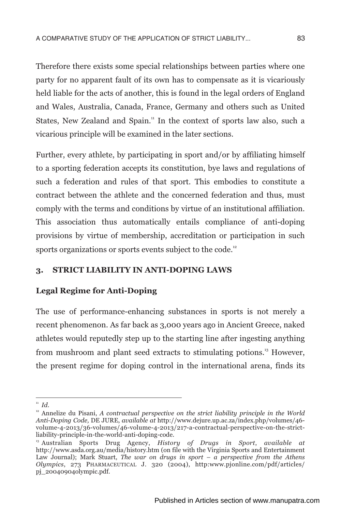Therefore there exists some special relationships between parties where one party for no apparent fault of its own has to compensate as it is vicariously held liable for the acts of another, this is found in the legal orders of England and Wales, Australia, Canada, France, Germany and others such as United States, New Zealand and Spain.<sup>11</sup> In the context of sports law also, such a vicarious principle will be examined in the later sections.

Further, every athlete, by participating in sport and/or by affiliating himself to a sporting federation accepts its constitution, bye laws and regulations of such a federation and rules of that sport. This embodies to constitute a contract between the athlete and the concerned federation and thus, must comply with the terms and conditions by virtue of an institutional affiliation. This association thus automatically entails compliance of anti-doping provisions by virtue of membership, accreditation or participation in such sports organizations or sports events subject to the code.<sup>12</sup>

## **3. STRICT LIABILITY IN ANTI-DOPING LAWS**

## **Legal Regime for Anti-Doping**

The use of performance-enhancing substances in sports is not merely a recent phenomenon. As far back as 3,000 years ago in Ancient Greece, naked athletes would reputedly step up to the starting line after ingesting anything from mushroom and plant seed extracts to stimulating potions.<sup>13</sup> However, the present regime for doping control in the international arena, finds its

<sup>11</sup> *Id.*

 $12$ <sup>2</sup> Annelize du Pisani, *A contractual perspective on the strict liability principle in the World Anti-Doping Code,* DE JURE, *available at* http://www.dejure.up.ac.za/index.php/volumes/46 volume-4-2013/36-volumes/46-volume-4-2013/217-a-contractual-perspective-on-the-strictliability-principle-in-the-world-anti-doping-code.

<sup>13</sup> Australian Sports Drug Agency, *History of Drugs in Sport*, *available at* http://www.asda.org.au/media/history.htm (on file with the Virginia Sports and Entertainment Law Journal); Mark Stuart, *The war on drugs in sport – a perspective from the Athens Olympics*, 273 PHARMACEUTICAL J. 320 (2004), http:www.pjonline.com/pdf/articles/ pj\_20040904olympic.pdf.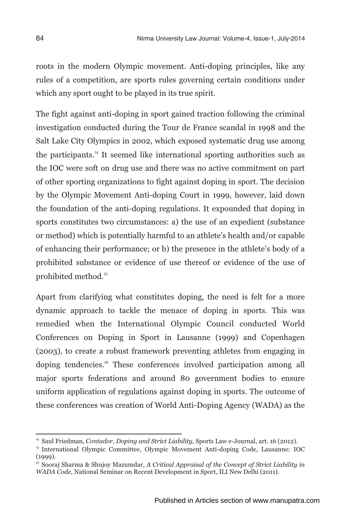roots in the modern Olympic movement. Anti-doping principles, like any rules of a competition, are sports rules governing certain conditions under which any sport ought to be played in its true spirit.

The fight against anti-doping in sport gained traction following the criminal investigation conducted during the Tour de France scandal in 1998 and the Salt Lake City Olympics in 2002, which exposed systematic drug use among the participants.<sup>14</sup> It seemed like international sporting authorities such as the IOC were soft on drug use and there was no active commitment on part of other sporting organizations to fight against doping in sport. The decision by the Olympic Movement Anti-doping Court in 1999, however, laid down the foundation of the anti-doping regulations. It expounded that doping in sports constitutes two circumstances: a) the use of an expedient (substance or method) which is potentially harmful to an athlete's health and/or capable of enhancing their performance; or b) the presence in the athlete's body of a prohibited substance or evidence of use thereof or evidence of the use of prohibited method.<sup>15</sup>

Apart from clarifying what constitutes doping, the need is felt for a more dynamic approach to tackle the menace of doping in sports. This was remedied when the International Olympic Council conducted World Conferences on Doping in Sport in Lausanne (1999) and Copenhagen (2003), to create a robust framework preventing athletes from engaging in doping tendencies.<sup>16</sup> These conferences involved participation among all major sports federations and around 80 government bodies to ensure uniform application of regulations against doping in sports. The outcome of these conferences was creation of World Anti-Doping Agency (WADA) as the

<sup>14</sup> Saul Friedman, *Contador, Doping and Strict Liability*, Sports Law e-Journal, art. 16 (2012).

<sup>15</sup> International Olympic Committee, Olympic Movement Anti-doping Code, Lausanne: IOC  $(1999)$ .

<sup>16</sup> Sooraj Sharma & Shujoy Mazumdar, *A Critical Appraisal of the Concept of Strict Liability in WADA Code*, National Seminar on Recent Development in Sport, ILI New Delhi (2011).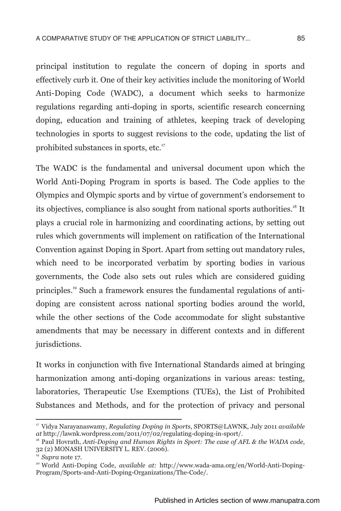principal institution to regulate the concern of doping in sports and effectively curb it. One of their key activities include the monitoring of World Anti-Doping Code (WADC), a document which seeks to harmonize regulations regarding anti-doping in sports, scientific research concerning doping, education and training of athletes, keeping track of developing technologies in sports to suggest revisions to the code, updating the list of prohibited substances in sports, etc.<sup>17</sup>

The WADC is the fundamental and universal document upon which the World Anti-Doping Program in sports is based. The Code applies to the Olympics and Olympic sports and by virtue of government's endorsement to its objectives, compliance is also sought from national sports authorities.<sup>18</sup> It plays a crucial role in harmonizing and coordinating actions, by setting out rules which governments will implement on ratification of the International Convention against Doping in Sport. Apart from setting out mandatory rules, which need to be incorporated verbatim by sporting bodies in various governments, the Code also sets out rules which are considered guiding principles.<sup>19</sup> Such a framework ensures the fundamental regulations of antidoping are consistent across national sporting bodies around the world, while the other sections of the Code accommodate for slight substantive amendments that may be necessary in different contexts and in different jurisdictions.

It works in conjunction with five International Standards aimed at bringing harmonization among anti-doping organizations in various areas: testing, laboratories, Therapeutic Use Exemptions (TUEs), the List of Prohibited Substances and Methods, and for the protection of privacy and personal

<sup>17</sup> Vidya Narayanaswamy, *Regulating Doping in Sports*, SPORTS@LAWNK, July 2011 *available at* http://lawnk.wordpress.com/2011/07/02/regulating-doping-in-sport/.

<sup>&</sup>lt;sup>18</sup> Paul Hovrath, *Anti-Doping and Human Rights in Sport: The case of AFL & the WADA code*, 32 (2) MONASH UNIVERSITY L. REV. (2006).

<sup>19</sup> *Supra* note 17.

<sup>&</sup>lt;sup>20</sup> World Anti-Doping Code, *available at:* http://www.wada-ama.org/en/World-Anti-Doping-Program/Sports-and-Anti-Doping-Organizations/The-Code/.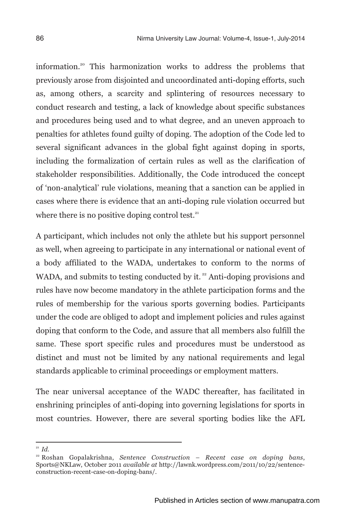information.<sup>20</sup> This harmonization works to address the problems that previously arose from disjointed and uncoordinated anti-doping efforts, such as, among others, a scarcity and splintering of resources necessary to conduct research and testing, a lack of knowledge about specific substances and procedures being used and to what degree, and an uneven approach to penalties for athletes found guilty of doping. The adoption of the Code led to several significant advances in the global fight against doping in sports, including the formalization of certain rules as well as the clarification of stakeholder responsibilities. Additionally, the Code introduced the concept of 'non-analytical' rule violations, meaning that a sanction can be applied in cases where there is evidence that an anti-doping rule violation occurred but where there is no positive doping control test. $21$ 

A participant, which includes not only the athlete but his support personnel as well, when agreeing to participate in any international or national event of a body affiliated to the WADA, undertakes to conform to the norms of WADA, and submits to testing conducted by it. $2<sup>22</sup>$  Anti-doping provisions and rules have now become mandatory in the athlete participation forms and the rules of membership for the various sports governing bodies. Participants under the code are obliged to adopt and implement policies and rules against doping that conform to the Code, and assure that all members also fulfill the same. These sport specific rules and procedures must be understood as distinct and must not be limited by any national requirements and legal standards applicable to criminal proceedings or employment matters.

The near universal acceptance of the WADC thereafter, has facilitated in enshrining principles of anti-doping into governing legislations for sports in most countries. However, there are several sporting bodies like the AFL

<sup>21</sup> *Id.*

<sup>22</sup> Roshan Gopalakrishna, *Sentence Construction – Recent case on doping bans*, Sports@NKLaw, October 2011 *available at* http://lawnk.wordpress.com/2011/10/22/sentenceconstruction-recent-case-on-doping-bans/.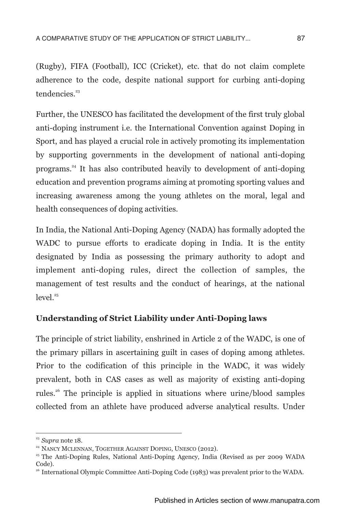(Rugby), FIFA (Football), ICC (Cricket), etc. that do not claim complete adherence to the code, despite national support for curbing anti-doping tendencies.<sup>23</sup>

Further, the UNESCO has facilitated the development of the first truly global anti-doping instrument i.e. the International Convention against Doping in Sport, and has played a crucial role in actively promoting its implementation by supporting governments in the development of national anti-doping <sup>24</sup> programs. It has also contributed heavily to development of anti-doping education and prevention programs aiming at promoting sporting values and increasing awareness among the young athletes on the moral, legal and health consequences of doping activities.

In India, the National Anti-Doping Agency (NADA) has formally adopted the WADC to pursue efforts to eradicate doping in India. It is the entity designated by India as possessing the primary authority to adopt and implement anti-doping rules, direct the collection of samples, the management of test results and the conduct of hearings, at the national  $level.<sup>25</sup>$ 

## **Understanding of Strict Liability under Anti-Doping laws**

The principle of strict liability, enshrined in Article 2 of the WADC, is one of the primary pillars in ascertaining guilt in cases of doping among athletes. Prior to the codification of this principle in the WADC, it was widely prevalent, both in CAS cases as well as majority of existing anti-doping rules.<sup>26</sup> The principle is applied in situations where urine/blood samples collected from an athlete have produced adverse analytical results. Under

<sup>23</sup> *Supra* note 18.

<sup>&</sup>lt;sup>24</sup> NANCY MCLENNAN, TOGETHER AGAINST DOPING, UNESCO (2012).

<sup>25</sup> The Anti-Doping Rules, National Anti-Doping Agency, India (Revised as per 2009 WADA Code).

 $26$  International Olympic Committee Anti-Doping Code (1983) was prevalent prior to the WADA.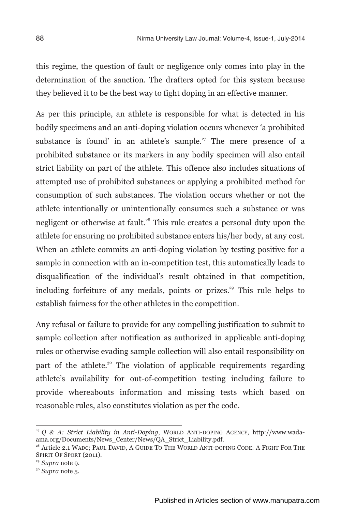this regime, the question of fault or negligence only comes into play in the determination of the sanction. The drafters opted for this system because they believed it to be the best way to fight doping in an effective manner.

As per this principle, an athlete is responsible for what is detected in his bodily specimens and an anti-doping violation occurs whenever 'a prohibited substance is found' in an athlete's sample.<sup> $27$ </sup> The mere presence of a prohibited substance or its markers in any bodily specimen will also entail strict liability on part of the athlete. This offence also includes situations of attempted use of prohibited substances or applying a prohibited method for consumption of such substances. The violation occurs whether or not the athlete intentionally or unintentionally consumes such a substance or was negligent or otherwise at fault.<sup>28</sup> This rule creates a personal duty upon the athlete for ensuring no prohibited substance enters his/her body, at any cost. When an athlete commits an anti-doping violation by testing positive for a sample in connection with an in-competition test, this automatically leads to disqualification of the individual's result obtained in that competition, including forfeiture of any medals, points or prizes.<sup>29</sup> This rule helps to establish fairness for the other athletes in the competition.

Any refusal or failure to provide for any compelling justification to submit to sample collection after notification as authorized in applicable anti-doping rules or otherwise evading sample collection will also entail responsibility on part of the athlete.<sup>30</sup> The violation of applicable requirements regarding athlete's availability for out-of-competition testing including failure to provide whereabouts information and missing tests which based on reasonable rules, also constitutes violation as per the code.

<sup>27</sup> *Q & A: Strict Liability in Anti-Doping*, WORLD ANTI-DOPING AGENCY, http://www.wadaama.org/Documents/News\_Center/News/QA\_Strict\_Liability.pdf.

<sup>&</sup>lt;sup>28</sup> Article 2.1 WADC; PAUL DAVID, A GUIDE TO THE WORLD ANTI-DOPING CODE; A FIGHT FOR THE SPIRIT OF SPORT (2011).

<sup>29</sup> *Supra* note 9.

<sup>30</sup> *Supra* note 5.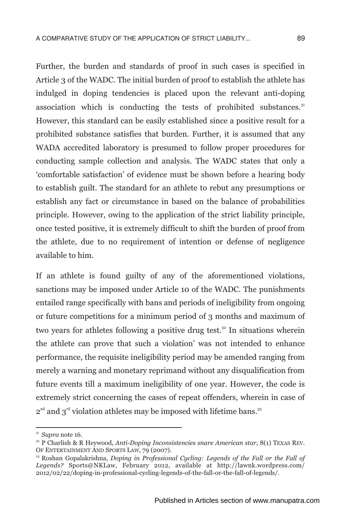Further, the burden and standards of proof in such cases is specified in Article 3 of the WADC. The initial burden of proof to establish the athlete has indulged in doping tendencies is placed upon the relevant anti-doping association which is conducting the tests of prohibited substances.<sup>31</sup> However, this standard can be easily established since a positive result for a prohibited substance satisfies that burden. Further, it is assumed that any WADA accredited laboratory is presumed to follow proper procedures for conducting sample collection and analysis. The WADC states that only a 'comfortable satisfaction' of evidence must be shown before a hearing body to establish guilt. The standard for an athlete to rebut any presumptions or establish any fact or circumstance in based on the balance of probabilities principle. However, owing to the application of the strict liability principle, once tested positive, it is extremely difficult to shift the burden of proof from the athlete, due to no requirement of intention or defense of negligence available to him.

If an athlete is found guilty of any of the aforementioned violations, sanctions may be imposed under Article 10 of the WADC. The punishments entailed range specifically with bans and periods of ineligibility from ongoing or future competitions for a minimum period of 3 months and maximum of two vears for athletes following a positive drug test. $32$  In situations wherein the athlete can prove that such a violation' was not intended to enhance performance, the requisite ineligibility period may be amended ranging from merely a warning and monetary reprimand without any disqualification from future events till a maximum ineligibility of one year. However, the code is extremely strict concerning the cases of repeat offenders, wherein in case of  $2<sup>nd</sup>$  and  $3<sup>rd</sup>$  violation athletes may be imposed with lifetime bans.<sup>33</sup>

 $31$  *Supra* note 16.

<sup>32</sup> P Charlish & R Heywood, *Anti-Doping Inconsistencies snare American star*, 8(1) TEXAS REV. OF ENTERTAINMENT AND SPORTS LAW, 79 (2007).

<sup>33</sup> Roshan Gopalakrishna, *Doping in Professional Cycling: Legends of the Fall or the Fall of Legends?* Sports@NKLaw, February 2012, available at http://lawnk.wordpress.com/ 2012/02/22/doping-in-professional-cycling-legends-of-the-fall-or-the-fall-of-legends/.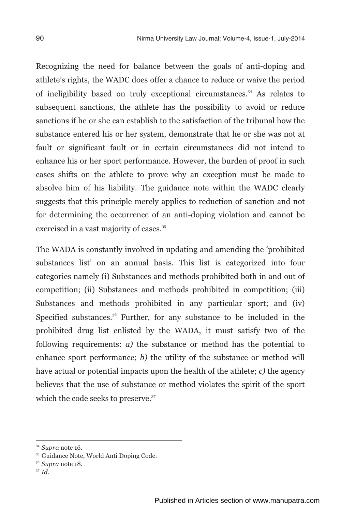Recognizing the need for balance between the goals of anti-doping and athlete's rights, the WADC does offer a chance to reduce or waive the period of ineligibility based on truly exceptional circumstances.<sup> $34$ </sup> As relates to subsequent sanctions, the athlete has the possibility to avoid or reduce sanctions if he or she can establish to the satisfaction of the tribunal how the substance entered his or her system, demonstrate that he or she was not at fault or significant fault or in certain circumstances did not intend to enhance his or her sport performance. However, the burden of proof in such cases shifts on the athlete to prove why an exception must be made to absolve him of his liability. The guidance note within the WADC clearly suggests that this principle merely applies to reduction of sanction and not for determining the occurrence of an anti-doping violation and cannot be exercised in a vast majority of cases.<sup>35</sup>

The WADA is constantly involved in updating and amending the 'prohibited substances list' on an annual basis. This list is categorized into four categories namely (i) Substances and methods prohibited both in and out of competition; (ii) Substances and methods prohibited in competition; (iii) Substances and methods prohibited in any particular sport; and (iv) Specified substances.<sup>36</sup> Further, for any substance to be included in the prohibited drug list enlisted by the WADA, it must satisfy two of the following requirements: *a)* the substance or method has the potential to enhance sport performance; *b)* the utility of the substance or method will have actual or potential impacts upon the health of the athlete; *c)* the agency believes that the use of substance or method violates the spirit of the sport which the code seeks to preserve.<sup>37</sup>

<sup>37</sup> *Id.*

<sup>34</sup> *Supra* note 16.

<sup>35</sup> Guidance Note, World Anti Doping Code.

<sup>36</sup> *Supra* note 18.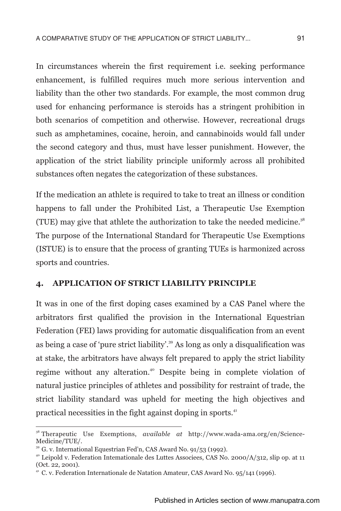In circumstances wherein the first requirement i.e. seeking performance enhancement, is fulfilled requires much more serious intervention and liability than the other two standards. For example, the most common drug used for enhancing performance is steroids has a stringent prohibition in both scenarios of competition and otherwise. However, recreational drugs such as amphetamines, cocaine, heroin, and cannabinoids would fall under the second category and thus, must have lesser punishment. However, the application of the strict liability principle uniformly across all prohibited substances often negates the categorization of these substances.

If the medication an athlete is required to take to treat an illness or condition happens to fall under the Prohibited List, a Therapeutic Use Exemption (TUE) may give that athlete the authorization to take the needed medicine.<sup>38</sup> The purpose of the International Standard for Therapeutic Use Exemptions (ISTUE) is to ensure that the process of granting TUEs is harmonized across sports and countries.

#### **4. APPLICATION OF STRICT LIABILITY PRINCIPLE**

It was in one of the first doping cases examined by a CAS Panel where the arbitrators first qualified the provision in the International Equestrian Federation (FEI) laws providing for automatic disqualification from an event as being a case of 'pure strict liability'.<sup>39</sup> As long as only a disqualification was at stake, the arbitrators have always felt prepared to apply the strict liability regime without any alteration.<sup>40</sup> Despite being in complete violation of natural justice principles of athletes and possibility for restraint of trade, the strict liability standard was upheld for meeting the high objectives and practical necessities in the fight against doping in sports.<sup>41</sup>

<sup>38</sup> Therapeutic Use Exemptions, *available at* http://www.wada-ama.org/en/Science-Medicine/TUE/.

 $39$  G. v. International Equestrian Fed'n, CAS Award No. 91/53 (1992).

<sup>&</sup>lt;sup>40</sup> Leipold v. Federation Intemationale des Luttes Associees, CAS No. 2000/A/312, slip op. at 11 (Oct. 22, 2001).

<sup>&</sup>lt;sup>41</sup> C. v. Federation Internationale de Natation Amateur, CAS Award No. 95/141 (1996).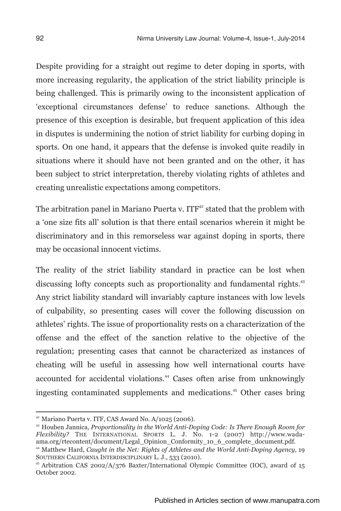Despite providing for a straight out regime to deter doping in sports, with more increasing regularity, the application of the strict liability principle is being challenged. This is primarily owing to the inconsistent application of 'exceptional circumstances defense' to reduce sanctions. Although the presence of this exception is desirable, but frequent application of this idea in disputes is undermining the notion of strict liability for curbing doping in sports. On one hand, it appears that the defense is invoked quite readily in situations where it should have not been granted and on the other, it has been subject to strict interpretation, thereby violating rights of athletes and creating unrealistic expectations among competitors.

The arbitration panel in Mariano Puerta v.  $ITF<sup>42</sup>$  stated that the problem with a 'one size fits all' solution is that there entail scenarios wherein it might be discriminatory and in this remorseless war against doping in sports, there may be occasional innocent victims.

The reality of the strict liability standard in practice can be lost when discussing lofty concepts such as proportionality and fundamental rights.<sup>43</sup> Any strict liability standard will invariably capture instances with low levels of culpability, so presenting cases will cover the following discussion on athletes' rights. The issue of proportionality rests on a characterization of the offense and the effect of the sanction relative to the objective of the regulation; presenting cases that cannot be characterized as instances of cheating will be useful in assessing how well international courts have accounted for accidental violations.<sup>44</sup> Cases often arise from unknowingly ingesting contaminated supplements and medications.<sup>45</sup> Other cases bring

 $42$  Mariano Puerta v. ITF, CAS Award No. A/1025 (2006).

<sup>43</sup> Houben Jannica, *Proportionality in the World Anti-Doping Code: Is There Enough Room for Flexibility?* THE INTERNATIONAL SPORTS L. J. No. 1-2 (2007) http://www.wadaama.org/rtecontent/document/Legal\_Opinion\_Conformity\_10\_6\_complete\_document.pdf.

<sup>44</sup> Matthew Hard, *Caught in the Net: Rights of Athletes and the World Anti-Doping Agency*, 19 SOUTHERN CALIFORNIA INTERDISCIPLINARY L. J., 533 (2010).

<sup>&</sup>lt;sup>45</sup> Arbitration CAS 2002/A/376 Baxter/International Olympic Committee (IOC), award of 15 October 2002.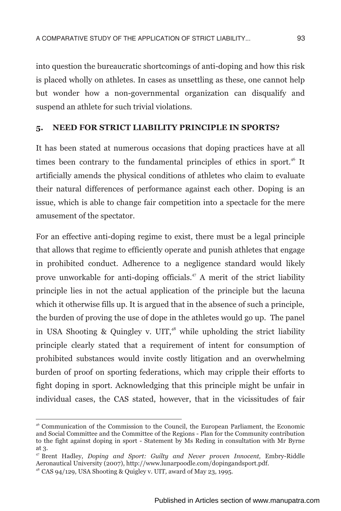into question the bureaucratic shortcomings of anti-doping and how this risk is placed wholly on athletes. In cases as unsettling as these, one cannot help but wonder how a non-governmental organization can disqualify and suspend an athlete for such trivial violations.

#### **5. NEED FOR STRICT LIABILITY PRINCIPLE IN SPORTS?**

It has been stated at numerous occasions that doping practices have at all times been contrary to the fundamental principles of ethics in sport.<sup>46</sup> It artificially amends the physical conditions of athletes who claim to evaluate their natural differences of performance against each other. Doping is an issue, which is able to change fair competition into a spectacle for the mere amusement of the spectator.

For an effective anti-doping regime to exist, there must be a legal principle that allows that regime to efficiently operate and punish athletes that engage in prohibited conduct. Adherence to a negligence standard would likely prove unworkable for anti-doping officials.<sup> $47$ </sup> A merit of the strict liability principle lies in not the actual application of the principle but the lacuna which it otherwise fills up. It is argued that in the absence of such a principle, the burden of proving the use of dope in the athletes would go up. The panel in USA Shooting & Quingley v. UIT, $48$  while upholding the strict liability principle clearly stated that a requirement of intent for consumption of prohibited substances would invite costly litigation and an overwhelming burden of proof on sporting federations, which may cripple their efforts to fight doping in sport. Acknowledging that this principle might be unfair in individual cases, the CAS stated, however, that in the vicissitudes of fair

<sup>46</sup> Communication of the Commission to the Council, the European Parliament, the Economic and Social Committee and the Committee of the Regions - Plan for the Community contribution to the fight against doping in sport - Statement by Ms Reding in consultation with Mr Byrne at 3.

<sup>47</sup> Brent Hadley, *Doping and Sport: Guilty and Never proven Innocent,* Embry-Riddle Aeronautical University (2007), http://www.lunarpoodle.com/dopingandsport.pdf.

<sup>48</sup> CAS 94/129, USA Shooting & Quigley v. UIT*,* award of May 23, 1995*.*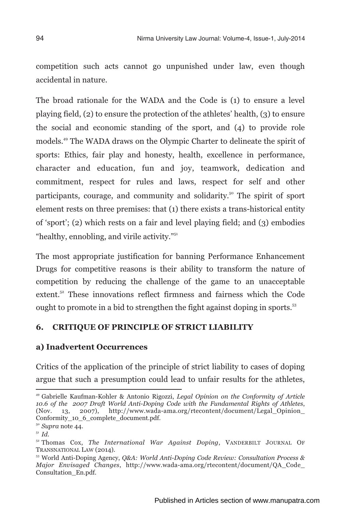competition such acts cannot go unpunished under law, even though accidental in nature.

The broad rationale for the WADA and the Code is (1) to ensure a level playing field, (2) to ensure the protection of the athletes' health, (3) to ensure the social and economic standing of the sport, and (4) to provide role models.<sup>49</sup> The WADA draws on the Olympic Charter to delineate the spirit of sports: Ethics, fair play and honesty, health, excellence in performance, character and education, fun and joy, teamwork, dedication and commitment, respect for rules and laws, respect for self and other participants, courage, and community and solidarity.<sup>50</sup> The spirit of sport element rests on three premises: that (1) there exists a trans-historical entity of 'sport'; (2) which rests on a fair and level playing field; and (3) embodies "healthy, ennobling, and virile activity. $\sum_{n=1}^{\infty}$ 

The most appropriate justification for banning Performance Enhancement Drugs for competitive reasons is their ability to transform the nature of competition by reducing the challenge of the game to an unacceptable extent.<sup>52</sup> These innovations reflect firmness and fairness which the Code ought to promote in a bid to strengthen the fight against doping in sports.<sup>53</sup>

## **6. CRITIQUE OF PRINCIPLE OF STRICT LIABILITY**

#### **a) Inadvertent Occurrences**

Critics of the application of the principle of strict liability to cases of doping argue that such a presumption could lead to unfair results for the athletes,

<sup>49</sup> Gabrielle Kaufman-Kohler & Antonio Rigozzi, *Legal Opinion on the Conformity of Article 10.6 of the 2007 Draft World Anti-Doping Code with the Fundamental Rights of Athletes*, http://www.wada-ama.org/rtecontent/document/Legal\_Opinion\_ Conformity\_10\_6\_complete\_document.pdf.

<sup>50</sup> *Supra* note 44.

<sup>51</sup> *Id.*

<sup>52</sup> Thomas Cox, *The International War Against Doping*, VANDERBILT JOURNAL OF TRANSNATIONAL LAW (2014).

<sup>53</sup> World Anti-Doping Agency, *Q&A: World Anti-Doping Code Review: Consultation Process & Major Envisaged Changes*, http://www.wada-ama.org/rtecontent/document/QA\_Code\_ Consultation\_En.pdf.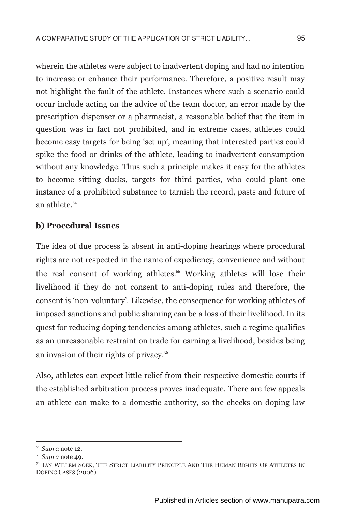wherein the athletes were subject to inadvertent doping and had no intention to increase or enhance their performance. Therefore, a positive result may not highlight the fault of the athlete. Instances where such a scenario could occur include acting on the advice of the team doctor, an error made by the prescription dispenser or a pharmacist, a reasonable belief that the item in question was in fact not prohibited, and in extreme cases, athletes could become easy targets for being 'set up', meaning that interested parties could spike the food or drinks of the athlete, leading to inadvertent consumption without any knowledge. Thus such a principle makes it easy for the athletes to become sitting ducks, targets for third parties, who could plant one instance of a prohibited substance to tarnish the record, pasts and future of

#### **b) Procedural Issues**

an athlete.<sup>54</sup>

The idea of due process is absent in anti-doping hearings where procedural rights are not respected in the name of expediency, convenience and without <sup>55</sup> the real consent of working athletes. Working athletes will lose their livelihood if they do not consent to anti-doping rules and therefore, the consent is 'non-voluntary'. Likewise, the consequence for working athletes of imposed sanctions and public shaming can be a loss of their livelihood. In its quest for reducing doping tendencies among athletes, such a regime qualifies as an unreasonable restraint on trade for earning a livelihood, besides being an invasion of their rights of privacy.<sup>56</sup>

Also, athletes can expect little relief from their respective domestic courts if the established arbitration process proves inadequate. There are few appeals an athlete can make to a domestic authority, so the checks on doping law

<sup>54</sup> *Supra* note 12.

<sup>55</sup> *Supra* note 49.

<sup>&</sup>lt;sup>56</sup> JAN WILLEM SOEK. THE STRICT LIABILITY PRINCIPLE AND THE HUMAN RIGHTS OF ATHLETES IN DOPING CASES (2006).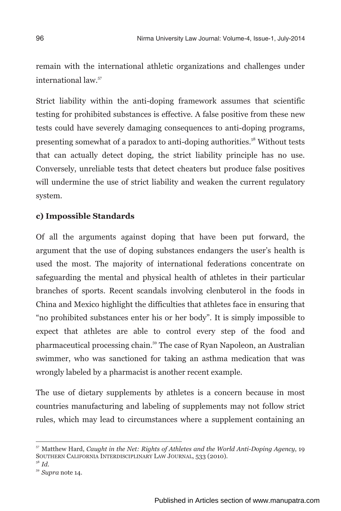remain with the international athletic organizations and challenges under international law.<sup>57</sup>

Strict liability within the anti-doping framework assumes that scientific testing for prohibited substances is effective. A false positive from these new tests could have severely damaging consequences to anti-doping programs, presenting somewhat of a paradox to anti-doping authorities.<sup>58</sup> Without tests that can actually detect doping, the strict liability principle has no use. Conversely, unreliable tests that detect cheaters but produce false positives will undermine the use of strict liability and weaken the current regulatory system.

## **c) Impossible Standards**

Of all the arguments against doping that have been put forward, the argument that the use of doping substances endangers the user's health is used the most. The majority of international federations concentrate on safeguarding the mental and physical health of athletes in their particular branches of sports. Recent scandals involving clenbuterol in the foods in China and Mexico highlight the difficulties that athletes face in ensuring that "no prohibited substances enter his or her body". It is simply impossible to expect that athletes are able to control every step of the food and pharmaceutical processing chain.<sup>59</sup> The case of Ryan Napoleon, an Australian swimmer, who was sanctioned for taking an asthma medication that was wrongly labeled by a pharmacist is another recent example.

The use of dietary supplements by athletes is a concern because in most countries manufacturing and labeling of supplements may not follow strict rules, which may lead to circumstances where a supplement containing an

<sup>57</sup> Matthew Hard, *Caught in the Net: Rights of Athletes and the World Anti-Doping Agency*, 19 SOUTHERN CALIFORNIA INTERDISCIPLINARY LAW JOURNAL, 533 (2010).

<sup>58</sup> *Id.*

<sup>59</sup> *Supra* note 14.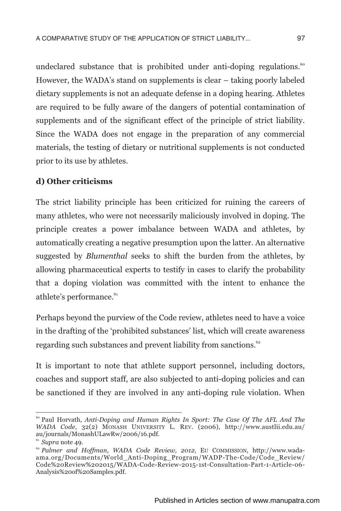undeclared substance that is prohibited under anti-doping regulations.<sup>60</sup> However, the WADA's stand on supplements is clear – taking poorly labeled dietary supplements is not an adequate defense in a doping hearing. Athletes are required to be fully aware of the dangers of potential contamination of supplements and of the significant effect of the principle of strict liability. Since the WADA does not engage in the preparation of any commercial materials, the testing of dietary or nutritional supplements is not conducted prior to its use by athletes.

#### **d) Other criticisms**

The strict liability principle has been criticized for ruining the careers of many athletes, who were not necessarily maliciously involved in doping. The principle creates a power imbalance between WADA and athletes, by automatically creating a negative presumption upon the latter. An alternative suggested by *Blumenthal* seeks to shift the burden from the athletes, by allowing pharmaceutical experts to testify in cases to clarify the probability that a doping violation was committed with the intent to enhance the athlete's performance.<sup>61</sup>

Perhaps beyond the purview of the Code review, athletes need to have a voice in the drafting of the 'prohibited substances' list, which will create awareness regarding such substances and prevent liability from sanctions.<sup>62</sup>

It is important to note that athlete support personnel, including doctors, coaches and support staff, are also subjected to anti-doping policies and can be sanctioned if they are involved in any anti-doping rule violation. When

<sup>&</sup>lt;sup>60</sup> Paul Horvath, *Anti-Doping and Human Rights In Sport: The Case Of The AFL And The WADA Code*, 32(2) MONASH UNIVERSITY L. REV. (2006), http://www.austlii.edu.au/ au/journals/MonashULawRw/2006/16.pdf.

<sup>61</sup> *Supra* note 49.

<sup>62</sup> *Palmer and Hoffman*, *WADA Code Review, 2012*, EU COMMISSION, http://www.wadaama.org/Documents/World\_Anti-Doping\_Program/WADP-The-Code/Code\_Review/ Code%20Review%202015/WADA-Code-Review-2015-1st-Consultation-Part-1-Article-06- Analysis%20of%20Samples.pdf.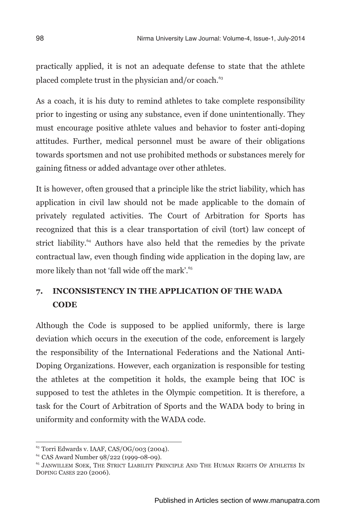practically applied, it is not an adequate defense to state that the athlete placed complete trust in the physician and/or coach.<sup>63</sup>

As a coach, it is his duty to remind athletes to take complete responsibility prior to ingesting or using any substance, even if done unintentionally. They must encourage positive athlete values and behavior to foster anti-doping attitudes. Further, medical personnel must be aware of their obligations towards sportsmen and not use prohibited methods or substances merely for gaining fitness or added advantage over other athletes.

It is however, often groused that a principle like the strict liability, which has application in civil law should not be made applicable to the domain of privately regulated activities. The Court of Arbitration for Sports has recognized that this is a clear transportation of civil (tort) law concept of strict liability.<sup>64</sup> Authors have also held that the remedies by the private contractual law, even though finding wide application in the doping law, are more likely than not 'fall wide off the mark'.<sup>65</sup>

## **7. INCONSISTENCY IN THE APPLICATION OF THE WADA CODE**

Although the Code is supposed to be applied uniformly, there is large deviation which occurs in the execution of the code, enforcement is largely the responsibility of the International Federations and the National Anti-Doping Organizations. However, each organization is responsible for testing the athletes at the competition it holds, the example being that IOC is supposed to test the athletes in the Olympic competition. It is therefore, a task for the Court of Arbitration of Sports and the WADA body to bring in uniformity and conformity with the WADA code.

<sup>63</sup> Torri Edwards v. IAAF, CAS/OG/003 (2004).

<sup>64</sup> CAS Award Number 98/222 (1999-08-09).

<sup>&</sup>lt;sup>65</sup> JANWILLEM SOEK, THE STRICT LIABILITY PRINCIPLE AND THE HUMAN RIGHTS OF ATHLETES IN DOPING CASES 220 (2006).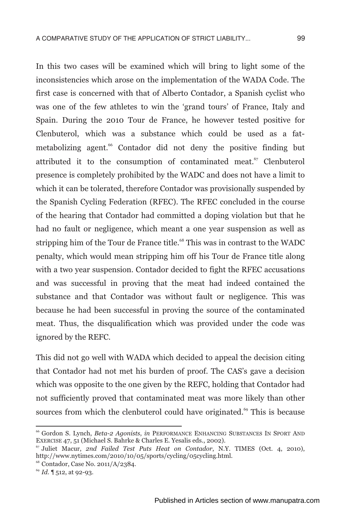In this two cases will be examined which will bring to light some of the inconsistencies which arose on the implementation of the WADA Code. The first case is concerned with that of Alberto Contador, a Spanish cyclist who was one of the few athletes to win the 'grand tours' of France, Italy and Spain. During the 2010 Tour de France, he however tested positive for Clenbuterol, which was a substance which could be used as a fatmetabolizing agent.<sup>66</sup> Contador did not deny the positive finding but attributed it to the consumption of contaminated meat.<sup>67</sup> Clenbuterol presence is completely prohibited by the WADC and does not have a limit to which it can be tolerated, therefore Contador was provisionally suspended by the Spanish Cycling Federation (RFEC). The RFEC concluded in the course of the hearing that Contador had committed a doping violation but that he had no fault or negligence, which meant a one year suspension as well as stripping him of the Tour de France title.<sup>68</sup> This was in contrast to the WADC penalty, which would mean stripping him off his Tour de France title along with a two year suspension. Contador decided to fight the RFEC accusations and was successful in proving that the meat had indeed contained the substance and that Contador was without fault or negligence. This was because he had been successful in proving the source of the contaminated meat. Thus, the disqualification which was provided under the code was ignored by the REFC.

This did not go well with WADA which decided to appeal the decision citing that Contador had not met his burden of proof. The CAS's gave a decision which was opposite to the one given by the REFC, holding that Contador had not sufficiently proved that contaminated meat was more likely than other sources from which the clenbuterol could have originated.<sup>69</sup> This is because

<sup>66</sup> Gordon S. Lynch, *Beta-2 Agonists*, *in* PERFORMANCE ENHANCING SUBSTANCES IN SPORT AND EXERCISE 47, 51 (Michael S. Bahrke & Charles E. Yesalis eds., 2002).

<sup>67</sup> Juliet Macur, *2nd Failed Test Puts Heat on Contador*, N.Y. TIMES (Oct. 4, 2010), http://www.nytimes.com/2010/10/05/sports/cycling/05cycling.html.

<sup>68</sup> Contador, Case No. 2011/A/2384.

<sup>69</sup> *Id.* ¶ 512, at 92-93.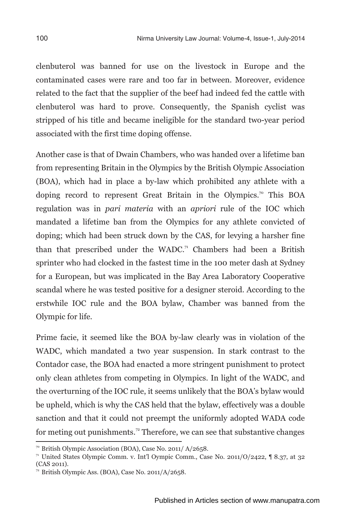clenbuterol was banned for use on the livestock in Europe and the contaminated cases were rare and too far in between. Moreover, evidence related to the fact that the supplier of the beef had indeed fed the cattle with clenbuterol was hard to prove. Consequently, the Spanish cyclist was stripped of his title and became ineligible for the standard two-year period associated with the first time doping offense.

Another case is that of Dwain Chambers, who was handed over a lifetime ban from representing Britain in the Olympics by the British Olympic Association (BOA), which had in place a by-law which prohibited any athlete with a doping record to represent Great Britain in the Olympics.<sup>70</sup> This BOA regulation was in *pari materia* with an *apriori* rule of the IOC which mandated a lifetime ban from the Olympics for any athlete convicted of doping; which had been struck down by the CAS, for levying a harsher fine than that prescribed under the WADC.<sup>71</sup> Chambers had been a British sprinter who had clocked in the fastest time in the 100 meter dash at Sydney for a European, but was implicated in the Bay Area Laboratory Cooperative scandal where he was tested positive for a designer steroid. According to the erstwhile IOC rule and the BOA bylaw, Chamber was banned from the Olympic for life.

Prime facie, it seemed like the BOA by-law clearly was in violation of the WADC, which mandated a two year suspension. In stark contrast to the Contador case, the BOA had enacted a more stringent punishment to protect only clean athletes from competing in Olympics. In light of the WADC, and the overturning of the IOC rule, it seems unlikely that the BOA's bylaw would be upheld, which is why the CAS held that the bylaw, effectively was a double sanction and that it could not preempt the uniformly adopted WADA code for meting out punishments.<sup>72</sup> Therefore, we can see that substantive changes

<sup>70</sup> British Olympic Association (BOA), Case No. 2011/ A/2658.

<sup>&</sup>lt;sup>71</sup> United States Olympic Comm. v. Int'l Oympic Comm., Case No. 2011/O/2422,  $\parallel$  8.37, at 32 (CAS 2011).

 $72$  British Olympic Ass. (BOA), Case No. 2011/A/2658.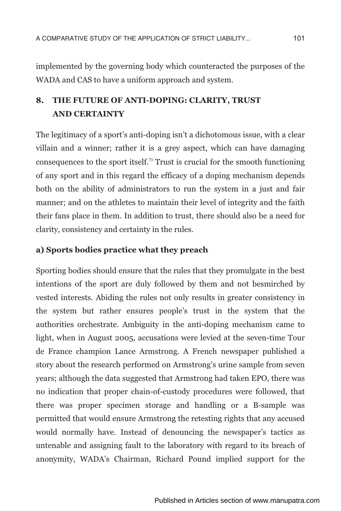implemented by the governing body which counteracted the purposes of the WADA and CAS to have a uniform approach and system.

## **8. THE FUTURE OF ANTI-DOPING: CLARITY, TRUST AND CERTAINTY**

The legitimacy of a sport's anti-doping isn't a dichotomous issue, with a clear villain and a winner; rather it is a grey aspect, which can have damaging consequences to the sport itself.<sup>73</sup> Trust is crucial for the smooth functioning of any sport and in this regard the efficacy of a doping mechanism depends both on the ability of administrators to run the system in a just and fair manner; and on the athletes to maintain their level of integrity and the faith their fans place in them. In addition to trust, there should also be a need for clarity, consistency and certainty in the rules.

## **a) Sports bodies practice what they preach**

Sporting bodies should ensure that the rules that they promulgate in the best intentions of the sport are duly followed by them and not besmirched by vested interests. Abiding the rules not only results in greater consistency in the system but rather ensures people's trust in the system that the authorities orchestrate. Ambiguity in the anti-doping mechanism came to light, when in August 2005, accusations were levied at the seven-time Tour de France champion Lance Armstrong. A French newspaper published a story about the research performed on Armstrong's urine sample from seven years; although the data suggested that Armstrong had taken EPO, there was no indication that proper chain-of-custody procedures were followed, that there was proper specimen storage and handling or a B-sample was permitted that would ensure Armstrong the retesting rights that any accused would normally have. Instead of denouncing the newspaper's tactics as untenable and assigning fault to the laboratory with regard to its breach of anonymity, WADA's Chairman, Richard Pound implied support for the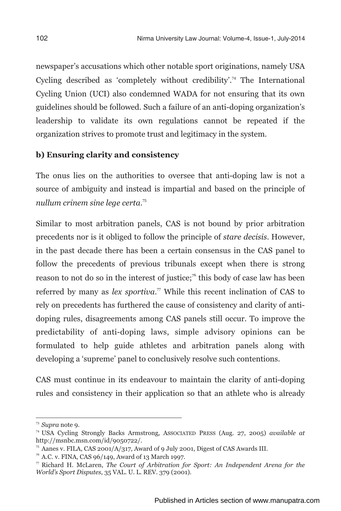newspaper's accusations which other notable sport originations, namely USA Cycling described as 'completely without credibility'.<sup>74</sup> The International Cycling Union (UCI) also condemned WADA for not ensuring that its own guidelines should be followed. Such a failure of an anti-doping organization's leadership to validate its own regulations cannot be repeated if the organization strives to promote trust and legitimacy in the system.

## **b) Ensuring clarity and consistency**

The onus lies on the authorities to oversee that anti-doping law is not a source of ambiguity and instead is impartial and based on the principle of <sup>75</sup> *nullum crinem sine lege certa*.

Similar to most arbitration panels, CAS is not bound by prior arbitration precedents nor is it obliged to follow the principle of *stare decisis*. However, in the past decade there has been a certain consensus in the CAS panel to follow the precedents of previous tribunals except when there is strong reason to not do so in the interest of justice;<sup> $\pi$ </sup> this body of case law has been referred by many as *lex sportiva*.<sup> $\pi$ </sup> While this recent inclination of CAS to rely on precedents has furthered the cause of consistency and clarity of antidoping rules, disagreements among CAS panels still occur. To improve the predictability of anti-doping laws, simple advisory opinions can be formulated to help guide athletes and arbitration panels along with developing a 'supreme' panel to conclusively resolve such contentions.

CAS must continue in its endeavour to maintain the clarity of anti-doping rules and consistency in their application so that an athlete who is already

<sup>73</sup> *Supra* note 9.

<sup>74</sup> USA Cycling Strongly Backs Armstrong, ASSOCIATED PRESS (Aug. 27, 2005) *available at* http://msnbc.msn.com/id/9050722/.

<sup>75</sup> Aanes v. FILA, CAS 2001/A/317, Award of 9 July 2001, Digest of CAS Awards III.

 $76$  A.C. v. FINA, CAS 96/149, Award of 13 March 1997.

<sup>77</sup> Richard H. McLaren, *The Court of Arbitration for Sport: An Independent Arena for the World's Sport Disputes,* 35 VAL. U. L. REV. 379 (2001).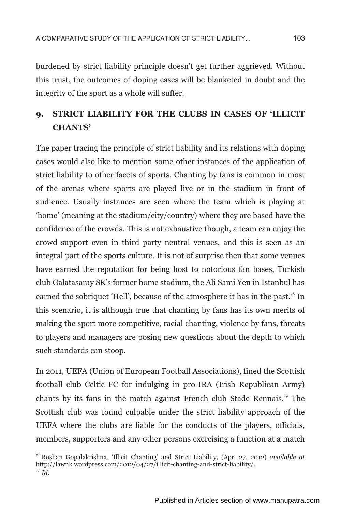burdened by strict liability principle doesn't get further aggrieved. Without this trust, the outcomes of doping cases will be blanketed in doubt and the integrity of the sport as a whole will suffer.

## **9. STRICT LIABILITY FOR THE CLUBS IN CASES OF 'ILLICIT CHANTS'**

The paper tracing the principle of strict liability and its relations with doping cases would also like to mention some other instances of the application of strict liability to other facets of sports. Chanting by fans is common in most of the arenas where sports are played live or in the stadium in front of audience. Usually instances are seen where the team which is playing at 'home' (meaning at the stadium/city/country) where they are based have the confidence of the crowds. This is not exhaustive though, a team can enjoy the crowd support even in third party neutral venues, and this is seen as an integral part of the sports culture. It is not of surprise then that some venues have earned the reputation for being host to notorious fan bases, Turkish club Galatasaray SK's former home stadium, the Ali Sami Yen in Istanbul has earned the sobriquet 'Hell', because of the atmosphere it has in the past.<sup>78</sup> In this scenario, it is although true that chanting by fans has its own merits of making the sport more competitive, racial chanting, violence by fans, threats to players and managers are posing new questions about the depth to which such standards can stoop.

In 2011, UEFA (Union of European Football Associations), fined the Scottish football club Celtic FC for indulging in pro-IRA (Irish Republican Army) chants by its fans in the match against French club Stade Rennais.<sup>79</sup> The Scottish club was found culpable under the strict liability approach of the UEFA where the clubs are liable for the conducts of the players, officials, members, supporters and any other persons exercising a function at a match

<sup>78</sup> Roshan Gopalakrishna, 'Illicit Chanting' and Strict Liability, (Apr. 27, 2012) *available at* http://lawnk.wordpress.com/2012/04/27/illicit-chanting-and-strict-liability/. <sup>79</sup> *Id.*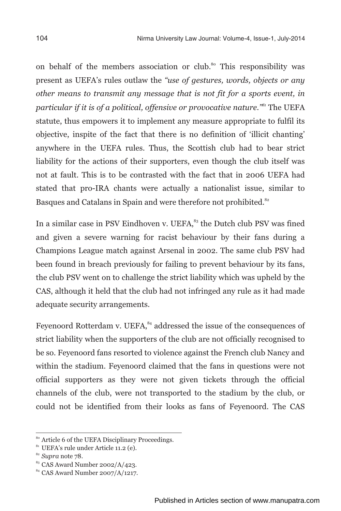on behalf of the members association or club.<sup>80</sup> This responsibility was present as UEFA's rules outlaw the *"use of gestures, words, objects or any other means to transmit any message that is not fit for a sports event, in <sup>81</sup> particular if it is of a political, offensive or provocative nature."* The UEFA statute, thus empowers it to implement any measure appropriate to fulfil its objective, inspite of the fact that there is no definition of 'illicit chanting' anywhere in the UEFA rules. Thus, the Scottish club had to bear strict liability for the actions of their supporters, even though the club itself was not at fault. This is to be contrasted with the fact that in 2006 UEFA had stated that pro-IRA chants were actually a nationalist issue, similar to Basques and Catalans in Spain and were therefore not prohibited.<sup>82</sup>

In a similar case in PSV Eindhoven v. UEFA,<sup>83</sup> the Dutch club PSV was fined and given a severe warning for racist behaviour by their fans during a Champions League match against Arsenal in 2002. The same club PSV had been found in breach previously for failing to prevent behaviour by its fans, the club PSV went on to challenge the strict liability which was upheld by the CAS, although it held that the club had not infringed any rule as it had made adequate security arrangements.

Feyenoord Rotterdam v. UEFA,  $^{84}$  addressed the issue of the consequences of strict liability when the supporters of the club are not officially recognised to be so. Feyenoord fans resorted to violence against the French club Nancy and within the stadium. Feyenoord claimed that the fans in questions were not official supporters as they were not given tickets through the official channels of the club, were not transported to the stadium by the club, or could not be identified from their looks as fans of Feyenoord. The CAS

<sup>80</sup> Article 6 of the UEFA Disciplinary Proceedings.

<sup>&</sup>lt;sup>81</sup> UEFA's rule under Article 11.2 (e).

<sup>82</sup> *Supra* note 78.

<sup>&</sup>lt;sup>83</sup> CAS Award Number 2002/A/423.

<sup>84</sup> CAS Award Number 2007/A/1217.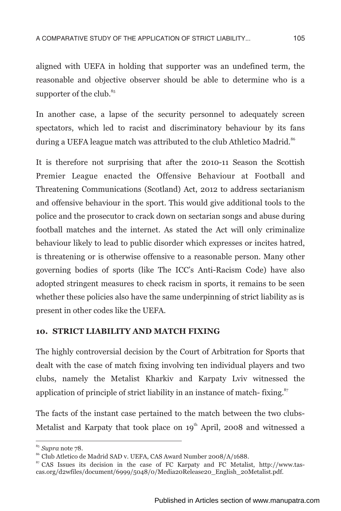aligned with UEFA in holding that supporter was an undefined term, the reasonable and objective observer should be able to determine who is a supporter of the club. $85$ 

In another case, a lapse of the security personnel to adequately screen spectators, which led to racist and discriminatory behaviour by its fans during a UEFA league match was attributed to the club Athletico Madrid.<sup>86</sup>

It is therefore not surprising that after the 2010-11 Season the Scottish Premier League enacted the Offensive Behaviour at Football and Threatening Communications (Scotland) Act, 2012 to address sectarianism and offensive behaviour in the sport. This would give additional tools to the police and the prosecutor to crack down on sectarian songs and abuse during football matches and the internet. As stated the Act will only criminalize behaviour likely to lead to public disorder which expresses or incites hatred, is threatening or is otherwise offensive to a reasonable person. Many other governing bodies of sports (like The ICC's Anti-Racism Code) have also adopted stringent measures to check racism in sports, it remains to be seen whether these policies also have the same underpinning of strict liability as is present in other codes like the UEFA.

## **10. STRICT LIABILITY AND MATCH FIXING**

The highly controversial decision by the Court of Arbitration for Sports that dealt with the case of match fixing involving ten individual players and two clubs, namely the Metalist Kharkiv and Karpaty Lviv witnessed the application of principle of strict liability in an instance of match- fixing. $\frac{87}{5}$ 

The facts of the instant case pertained to the match between the two clubs-Metalist and Karpaty that took place on  $19<sup>th</sup>$  April, 2008 and witnessed a

<sup>85</sup> *Supra* note 78.

<sup>86</sup> Club Atletico de Madrid SAD v. UEFA, CAS Award Number 2008/A/1688.

<sup>87</sup> CAS Issues its decision in the case of FC Karpaty and FC Metalist, http://www.tascas.org/d2wfiles/document/6999/5048/0/Media20Release20\_English\_20Metalist.pdf.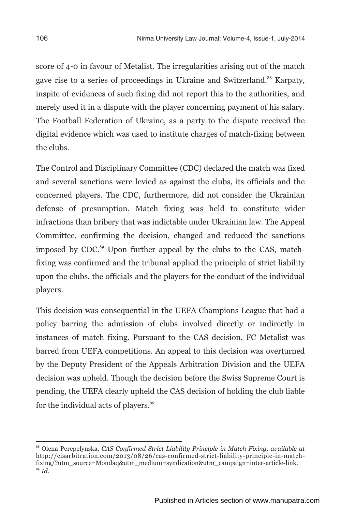score of 4-0 in favour of Metalist. The irregularities arising out of the match gave rise to a series of proceedings in Ukraine and Switzerland.<sup>88</sup> Karpaty, inspite of evidences of such fixing did not report this to the authorities, and merely used it in a dispute with the player concerning payment of his salary. The Football Federation of Ukraine, as a party to the dispute received the digital evidence which was used to institute charges of match-fixing between the clubs.

The Control and Disciplinary Committee (CDC) declared the match was fixed and several sanctions were levied as against the clubs, its officials and the concerned players. The CDC, furthermore, did not consider the Ukrainian defense of presumption. Match fixing was held to constitute wider infractions than bribery that was indictable under Ukrainian law. The Appeal Committee, confirming the decision, changed and reduced the sanctions imposed by CDC. $^{89}$  Upon further appeal by the clubs to the CAS, matchfixing was confirmed and the tribunal applied the principle of strict liability upon the clubs, the officials and the players for the conduct of the individual players.

This decision was consequential in the UEFA Champions League that had a policy barring the admission of clubs involved directly or indirectly in instances of match fixing. Pursuant to the CAS decision, FC Metalist was barred from UEFA competitions. An appeal to this decision was overturned by the Deputy President of the Appeals Arbitration Division and the UEFA decision was upheld. Though the decision before the Swiss Supreme Court is pending, the UEFA clearly upheld the CAS decision of holding the club liable for the individual acts of players.<sup>90</sup>

<sup>88</sup> Olena Perepelynska, *CAS Confirmed Strict Liability Principle in Match-Fixing, available at* http://cisarbitration.com/2013/08/26/cas-confirmed-strict-liability-principle-in-matchfixing/?utm\_source=Mondaq&utm\_medium=syndication&utm\_campaign=inter-article-link. <sup>89</sup> *Id.*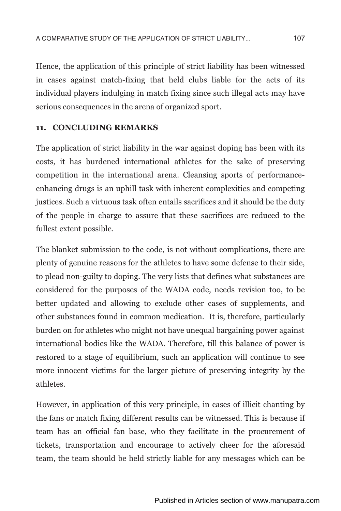Hence, the application of this principle of strict liability has been witnessed in cases against match-fixing that held clubs liable for the acts of its individual players indulging in match fixing since such illegal acts may have serious consequences in the arena of organized sport.

## **11. CONCLUDING REMARKS**

The application of strict liability in the war against doping has been with its costs, it has burdened international athletes for the sake of preserving competition in the international arena. Cleansing sports of performanceenhancing drugs is an uphill task with inherent complexities and competing justices. Such a virtuous task often entails sacrifices and it should be the duty of the people in charge to assure that these sacrifices are reduced to the fullest extent possible.

The blanket submission to the code, is not without complications, there are plenty of genuine reasons for the athletes to have some defense to their side, to plead non-guilty to doping. The very lists that defines what substances are considered for the purposes of the WADA code, needs revision too, to be better updated and allowing to exclude other cases of supplements, and other substances found in common medication. It is, therefore, particularly burden on for athletes who might not have unequal bargaining power against international bodies like the WADA. Therefore, till this balance of power is restored to a stage of equilibrium, such an application will continue to see more innocent victims for the larger picture of preserving integrity by the athletes.

However, in application of this very principle, in cases of illicit chanting by the fans or match fixing different results can be witnessed. This is because if team has an official fan base, who they facilitate in the procurement of tickets, transportation and encourage to actively cheer for the aforesaid team, the team should be held strictly liable for any messages which can be